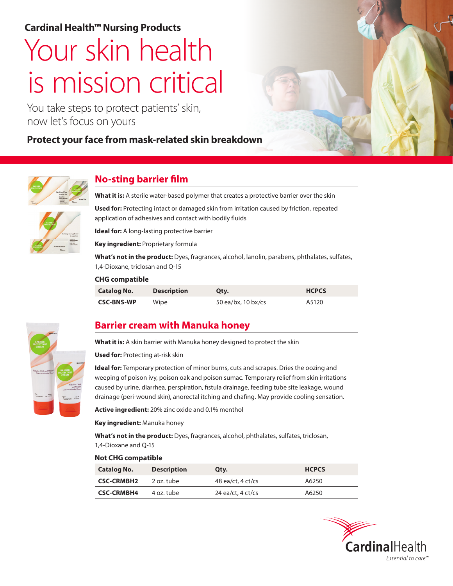# **Cardinal Health™ Nursing Products**

# Your skin health is mission critical

You take steps to protect patients' skin, now let's focus on yours

# **Protect your face from mask-related skin breakdown**





# **No-sting barrier film**

**What it is:** A sterile water-based polymer that creates a protective barrier over the skin

**Used for:** Protecting intact or damaged skin from irritation caused by friction, repeated application of adhesives and contact with bodily fluids

**Ideal for:** A long-lasting protective barrier

**Key ingredient:** Proprietary formula

**What's not in the product:** Dyes, fragrances, alcohol, lanolin, parabens, phthalates, sulfates, 1,4-Dioxane, triclosan and Q-15

#### **CHG compatible**

| <b>Catalog No.</b> | <b>Description</b> | Qty.               | <b>HCPCS</b> |
|--------------------|--------------------|--------------------|--------------|
| <b>CSC-BNS-WP</b>  | Wipe               | 50 ea/bx, 10 bx/cs | A5120        |



## **Barrier cream with Manuka honey**

**What it is:** A skin barrier with Manuka honey designed to protect the skin

**Used for:** Protecting at-risk skin

**Ideal for:** Temporary protection of minor burns, cuts and scrapes. Dries the oozing and weeping of poison ivy, poison oak and poison sumac. Temporary relief from skin irritations caused by urine, diarrhea, perspiration, fistula drainage, feeding tube site leakage, wound drainage (peri-wound skin), anorectal itching and chafing. May provide cooling sensation.

**Active ingredient:** 20% zinc oxide and 0.1% menthol

**Key ingredient:** Manuka honey

**What's not in the product:** Dyes, fragrances, alcohol, phthalates, sulfates, triclosan, 1,4-Dioxane and Q-15

#### **Not CHG compatible**

| <b>Catalog No.</b> | <b>Description</b> | Qty.              | <b>HCPCS</b> |
|--------------------|--------------------|-------------------|--------------|
| <b>CSC-CRMBH2</b>  | 2 oz. tube         | 48 ea/ct, 4 ct/cs | A6250        |
| <b>CSC-CRMBH4</b>  | 4 oz. tube         | 24 ea/ct, 4 ct/cs | A6250        |